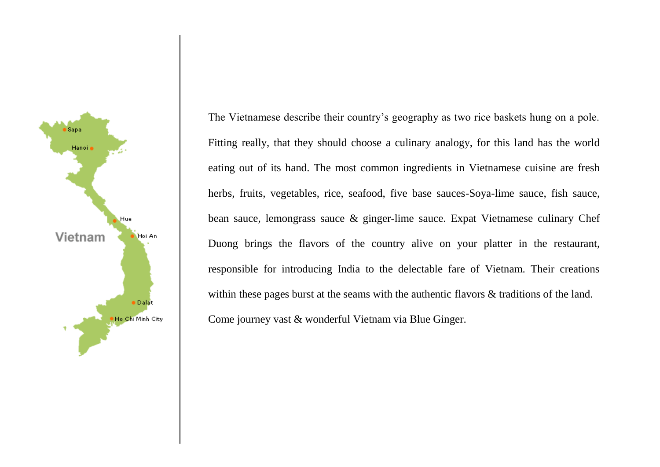

The Vietnamese describe their country's geography as two rice baskets hung on a pole. Fitting really, that they should choose a culinary analogy, for this land has the world eating out of its hand. The most common ingredients in Vietnamese cuisine are fresh herbs, fruits, vegetables, rice, seafood, five base sauces-Soya-lime sauce, fish sauce, bean sauce, lemongrass sauce & ginger-lime sauce. Expat Vietnamese culinary Chef Duong brings the flavors of the country alive on your platter in the restaurant, responsible for introducing India to the delectable fare of Vietnam. Their creations within these pages burst at the seams with the authentic flavors  $\&$  traditions of the land. Come journey vast & wonderful Vietnam via Blue Ginger.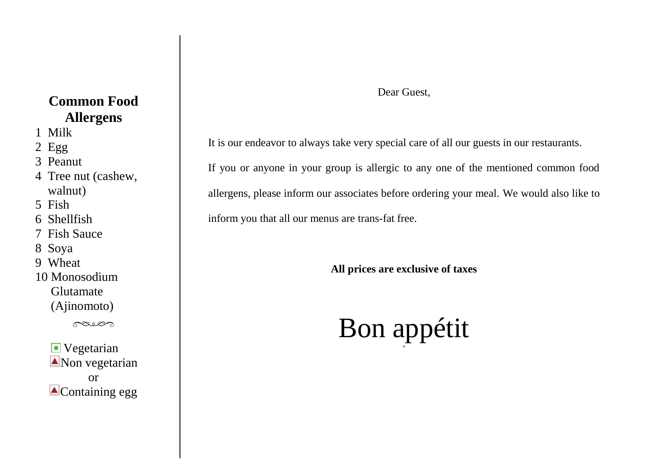#### **Common Food Allergens**

- 1 Milk
- 2 Egg
- 3 Peanut
- 4 Tree nut (cashew, walnut)
- 5 Fish
- 6 Shellfish
- 7 Fish Sauce
- 8 Soya
- 9 Wheat
- 10 Monosodium Glutamate (Ajinomoto)

paies

**V**egetarian Non vegetarian or **A**Containing egg

#### Dear Guest,

It is our endeavor to always take very special care of all our guests in our restaurants.

If you or anyone in your group is allergic to any one of the mentioned common food allergens, please inform our associates before ordering your meal. We would also like to inform you that all our menus are trans-fat free.

**All prices are exclusive of taxes** 

#### Bon appétit `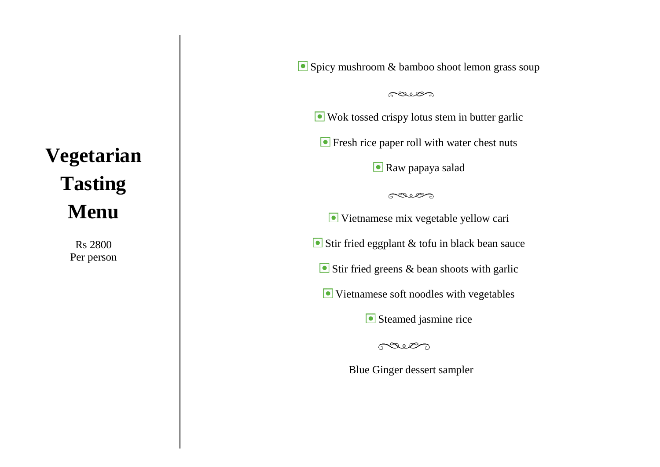# **Vegetarian Tasting Menu**

Rs 2800 Per person Spicy mushroom & bamboo shoot lemon grass soup

paie

Wok tossed crispy lotus stem in butter garlic

**•** Fresh rice paper roll with water chest nuts

**Raw papaya salad** 

paies

Vietnamese mix vegetable yellow cari

Stir fried eggplant & tofu in black bean sauce

Stir fried greens & bean shoots with garlic

Vietnamese soft noodles with vegetables

Steamed jasmine rice

paies

Blue Ginger dessert sampler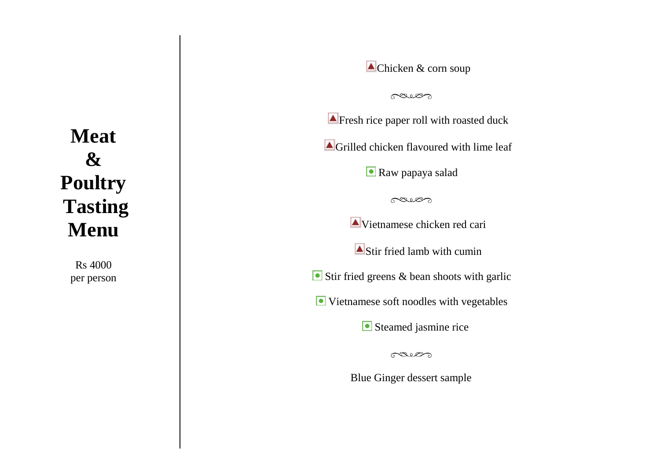## **Meat & Poultry Tasting Menu**

Rs 4000 per person Chicken & corn soup

paien

**A** Fresh rice paper roll with roasted duck Grilled chicken flavoured with lime leaf **Raw papaya salad** paies Vietnamese chicken red cari Stir fried lamb with cumin Stir fried greens & bean shoots with garlic Vietnamese soft noodles with vegetables Steamed jasmine rice

paie

Blue Ginger dessert sample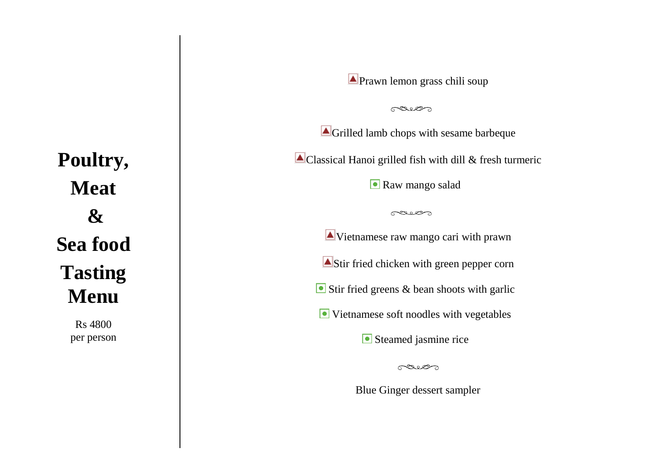**Poultry, Meat & Sea food Tasting Menu**

> Rs 4800 per person

**Prawn lemon grass chili soup** 

pair

Grilled lamb chops with sesame barbeque

Classical Hanoi grilled fish with dill & fresh turmeric

Raw mango salad

cais

Vietnamese raw mango cari with prawn Stir fried chicken with green pepper corn Stir fried greens & bean shoots with garlic Vietnamese soft noodles with vegetables

Steamed jasmine rice

paies

Blue Ginger dessert sampler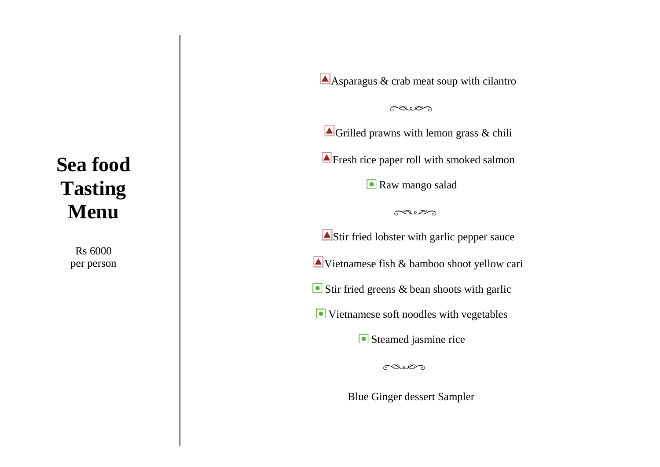### **Sea food Tasting Menu**

Rs 6000 per person Asparagus & crab meat soup with cilantro

paies

Grilled prawns with lemon grass & chili

**Example 3** Fresh rice paper roll with smoked salmon

Raw mango salad

paies

Stir fried lobster with garlic pepper sauce Vietnamese fish & bamboo shoot yellow cari Stir fried greens & bean shoots with garlic Vietnamese soft noodles with vegetables

Steamed jasmine rice

gaves

Blue Ginger dessert Sampler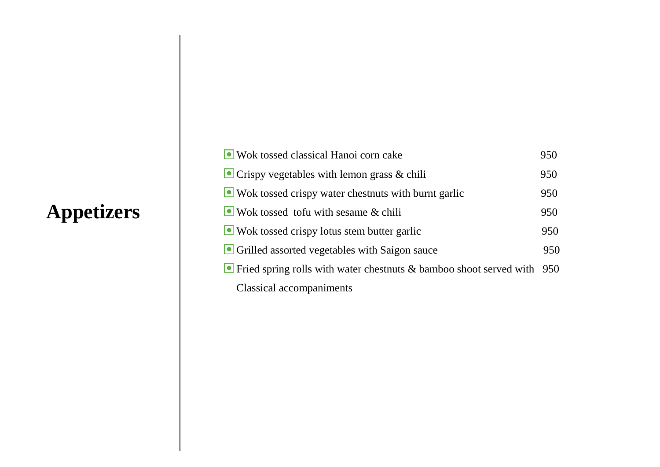## **Appetizers**

| • Wok tossed classical Hanoi corn cake                                                | 950 |
|---------------------------------------------------------------------------------------|-----|
| $\bullet$ Crispy vegetables with lemon grass & chili                                  | 950 |
| $\Box$ Wok tossed crispy water chestnuts with burnt garlic                            | 950 |
| $\bullet$ Wok tossed to fu with sesame & chili                                        | 950 |
| • Wok tossed crispy lotus stem butter garlic                                          | 950 |
| • Grilled assorted vegetables with Saigon sauce                                       | 950 |
| $\blacksquare$ Fried spring rolls with water chestnuts & bamboo shoot served with 950 |     |
| Classical accompaniments                                                              |     |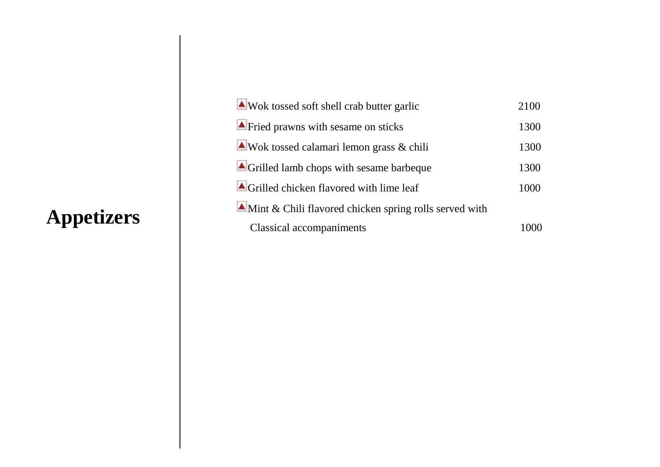## **Appetizers**

| Wok tossed soft shell crab butter garlic                           | 2100 |
|--------------------------------------------------------------------|------|
| $\blacktriangle$ Fried prawns with sesame on sticks                | 1300 |
| Wok tossed calamari lemon grass $\&$ chili                         | 1300 |
| Grilled lamb chops with sesame barbeque                            | 1300 |
| $\blacksquare$ Grilled chicken flavored with lime leaf             | 1000 |
| $\triangle$ Mint & Chili flavored chicken spring rolls served with |      |
| <b>Classical accompaniments</b>                                    |      |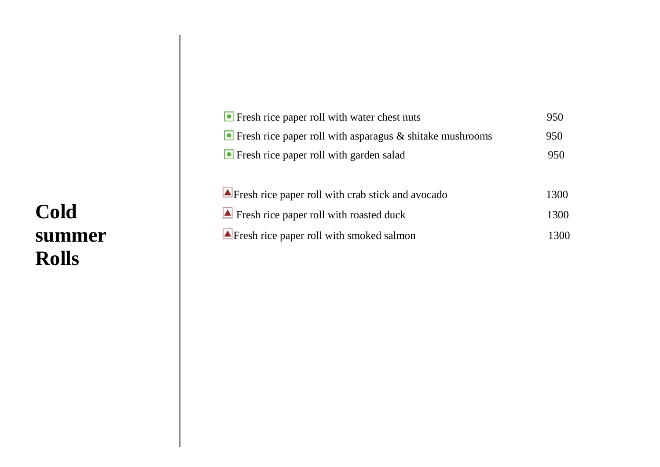### **Cold summer Rolls**

| <b>•</b> Fresh rice paper roll with water chest nuts                    | 950  |
|-------------------------------------------------------------------------|------|
| $\blacksquare$ Fresh rice paper roll with asparagus & shitake mushrooms | 950  |
| • Fresh rice paper roll with garden salad                               | 950  |
|                                                                         |      |
| $\blacktriangle$ Fresh rice paper roll with crab stick and avocado      | 1300 |
| $\blacksquare$ Fresh rice paper roll with roasted duck                  | 1300 |
| $\blacktriangle$ Fresh rice paper roll with smoked salmon               | 1300 |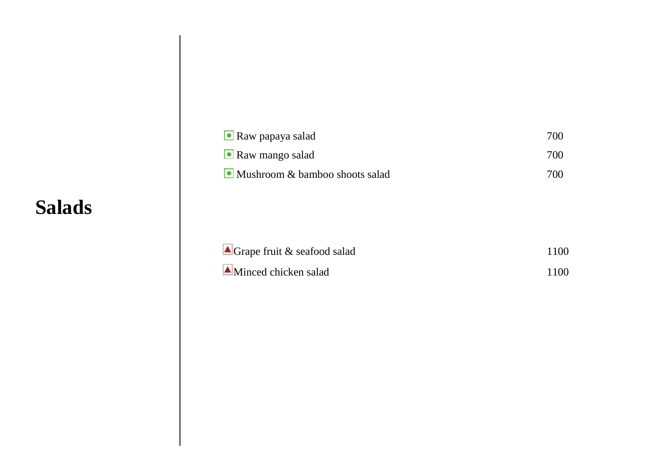#### **Salads**

| $\blacksquare$ Raw papaya salad    | 700 |
|------------------------------------|-----|
| $\bullet$ Raw mango salad          | 700 |
| • Mushroom $&$ bamboo shoots salad | 700 |
|                                    |     |

| $\blacksquare$ Grape fruit & seafood salad | 1100 |
|--------------------------------------------|------|
| $\blacksquare$ Minced chicken salad        | 1100 |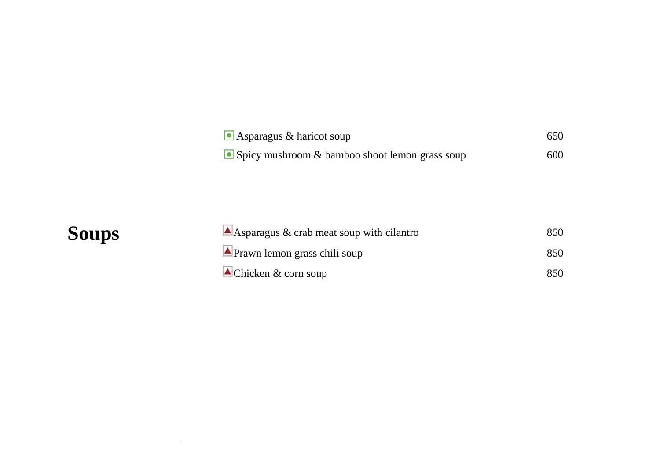# **Soups**

| $\bullet$ Asparagus & haricot soup                       | 650 |
|----------------------------------------------------------|-----|
| $\bullet$ Spicy mushroom & bamboo shoot lemon grass soup | 600 |

| $\triangle$ Asparagus & crab meat soup with cilantro | 850 |
|------------------------------------------------------|-----|
| $\triangle$ Prawn lemon grass chili soup             | 850 |
| $\triangle$ Chicken & corn soup                      | 850 |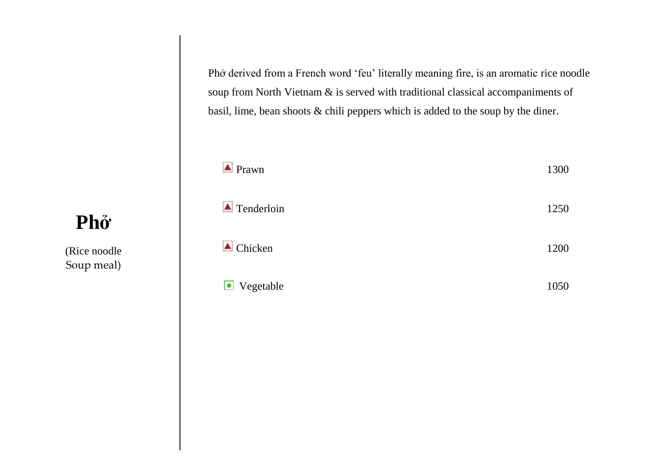Phở derived from a French word 'feu' literally meaning fire, is an aromatic rice noodle soup from North Vietnam & is served with traditional classical accompaniments of basil, lime, bean shoots & chili peppers which is added to the soup by the diner.

| $\triangle$ Prawn         | 1300 |
|---------------------------|------|
| $\blacksquare$ Tenderloin | 1250 |
| $\triangle$ Chicken       | 1200 |
| Vegetable                 | 1050 |
|                           |      |

## **Phở**

(Rice noodle Soup meal)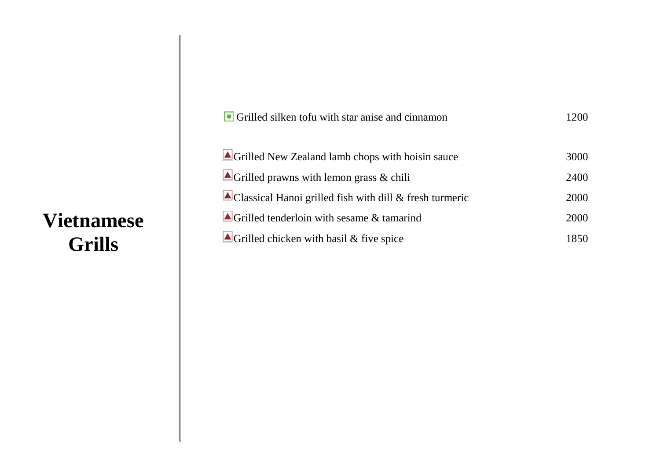### **Vietnamese Grills**

| • Grilled silken tofu with star anise and cinnamon                  | 1200 |
|---------------------------------------------------------------------|------|
| Grilled New Zealand lamb chops with hoisin sauce                    | 3000 |
| $\triangle$ Grilled prawns with lemon grass & chili                 | 2400 |
| $\triangle$ Classical Hanoi grilled fish with dill & fresh turmeric | 2000 |
| $\triangle$ Grilled tenderloin with sesame & tamarind               | 2000 |
| $\triangle$ Grilled chicken with basil & five spice                 | 1850 |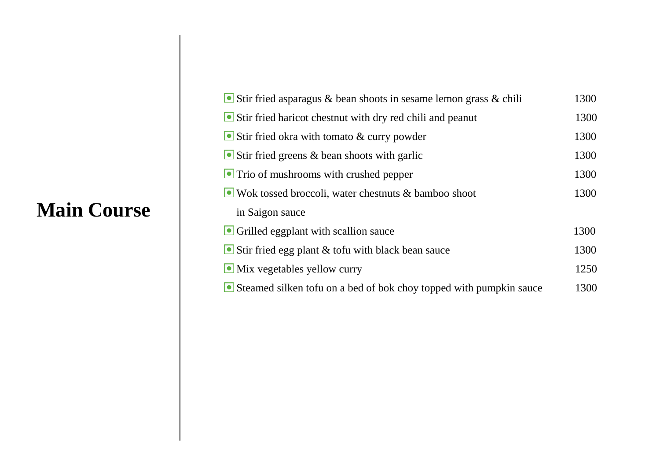#### **Main Course**

| Stir fried asparagus & bean shoots in sesame lemon grass $\&$ chili      | 1300 |
|--------------------------------------------------------------------------|------|
| $\blacksquare$ Stir fried haricot chestnut with dry red chili and peanut | 1300 |
| Stir fried okra with tomato $&$ curry powder                             | 1300 |
| $\bullet$ Stir fried greens & bean shoots with garlic                    | 1300 |
| $\blacksquare$ Trio of mushrooms with crushed pepper                     | 1300 |
| $\bullet$ Wok tossed broccoli, water chestnuts & bamboo shoot            | 1300 |
| in Saigon sauce                                                          |      |
| • Grilled eggplant with scallion sauce                                   | 1300 |
| $\blacksquare$ Stir fried egg plant & tofu with black bean sauce         | 1300 |
| • Mix vegetables yellow curry                                            | 1250 |
| Steamed silken to fu on a bed of bok choy topped with pumpkin sauce      | 1300 |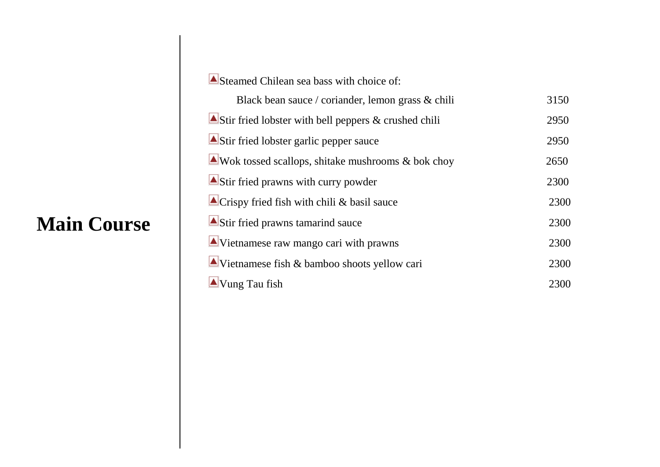### **Main Course**

| Steamed Chilean sea bass with choice of:                      |      |
|---------------------------------------------------------------|------|
| Black bean sauce / coriander, lemon grass & chili             | 3150 |
| Stir fried lobster with bell peppers $\&$ crushed chili       | 2950 |
| Stir fried lobster garlic pepper sauce                        | 2950 |
| $\triangle$ Wok tossed scallops, shitake mushrooms & bok choy | 2650 |
| $\triangle$ Stir fried prawns with curry powder               | 2300 |
| $\triangle$ Crispy fried fish with chili & basil sauce        | 2300 |
| Stir fried prawns tamarind sauce                              | 2300 |
| $\triangle$ Vietnamese raw mango cari with prawns             | 2300 |
| $\triangle$ Vietnamese fish & bamboo shoots yellow cari       | 2300 |
| $\triangle$ Vung Tau fish                                     | 2300 |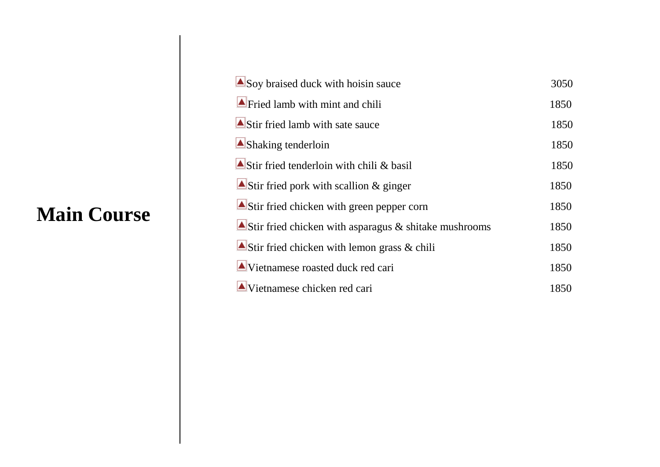#### **Main Course**

| Soy braised duck with hoisin sauce                       | 3050 |
|----------------------------------------------------------|------|
| $\blacktriangle$ Fried lamb with mint and chili          | 1850 |
| $\triangle$ Stir fried lamb with sate sauce              | 1850 |
| $\triangle$ Shaking tenderloin                           | 1850 |
| Stir fried tenderloin with chili & basil                 | 1850 |
| Stir fried pork with scallion $&$ ginger                 | 1850 |
| Stir fried chicken with green pepper corn                | 1850 |
| Stir fried chicken with asparagus $\&$ shitake mushrooms | 1850 |
| Stir fried chicken with lemon grass $\&$ chili           | 1850 |
| $\triangle$ Vietnamese roasted duck red cari             | 1850 |
| $\triangle$ Vietnamese chicken red cari                  | 1850 |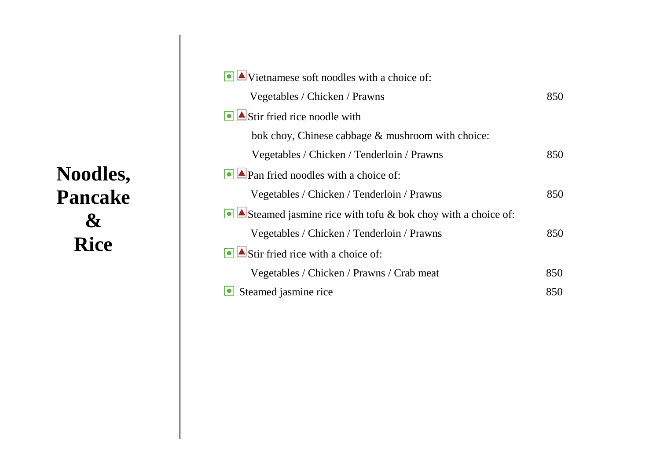## **Noodles, Pancake & Rice**

| $\bullet$ $\blacktriangle$ Vietnamese soft noodles with a choice of: |     |
|----------------------------------------------------------------------|-----|
| Vegetables / Chicken / Prawns                                        | 850 |
| $\bigcirc$ $\triangle$ Stir fried rice noodle with                   |     |
| bok choy, Chinese cabbage & mushroom with choice:                    |     |
| Vegetables / Chicken / Tenderloin / Prawns                           | 850 |
| $\Box$ Pan fried noodles with a choice of:                           |     |
| Vegetables / Chicken / Tenderloin / Prawns                           | 850 |
| Steamed jasmine rice with tofu & bok choy with a choice of:          |     |
| Vegetables / Chicken / Tenderloin / Prawns                           | 850 |
| $\Box$ Stir fried rice with a choice of:                             |     |
| Vegetables / Chicken / Prawns / Crab meat                            | 850 |
| Steamed jasmine rice                                                 | 850 |